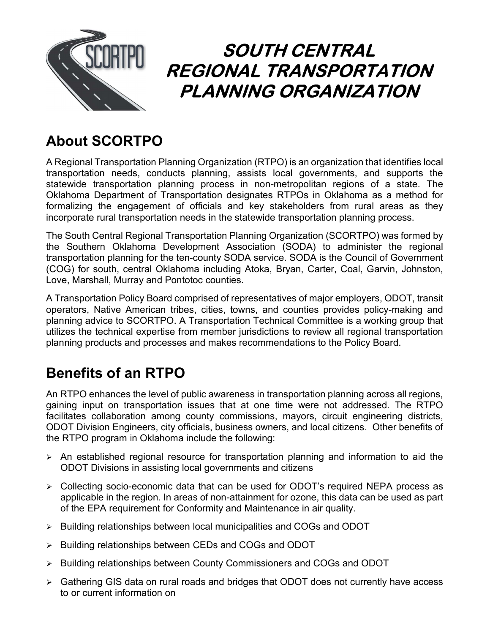

# SOUTH CENTRAL REGIONAL TRANSPORTATION PLANNING ORGANIZATION

### About SCORTPO

A Regional Transportation Planning Organization (RTPO) is an organization that identifies local transportation needs, conducts planning, assists local governments, and supports the statewide transportation planning process in non-metropolitan regions of a state. The Oklahoma Department of Transportation designates RTPOs in Oklahoma as a method for formalizing the engagement of officials and key stakeholders from rural areas as they incorporate rural transportation needs in the statewide transportation planning process.

The South Central Regional Transportation Planning Organization (SCORTPO) was formed by the Southern Oklahoma Development Association (SODA) to administer the regional transportation planning for the ten-county SODA service. SODA is the Council of Government (COG) for south, central Oklahoma including Atoka, Bryan, Carter, Coal, Garvin, Johnston, Love, Marshall, Murray and Pontotoc counties.

A Transportation Policy Board comprised of representatives of major employers, ODOT, transit operators, Native American tribes, cities, towns, and counties provides policy-making and planning advice to SCORTPO. A Transportation Technical Committee is a working group that utilizes the technical expertise from member jurisdictions to review all regional transportation planning products and processes and makes recommendations to the Policy Board.

## Benefits of an RTPO

An RTPO enhances the level of public awareness in transportation planning across all regions, gaining input on transportation issues that at one time were not addressed. The RTPO facilitates collaboration among county commissions, mayors, circuit engineering districts, ODOT Division Engineers, city officials, business owners, and local citizens. Other benefits of the RTPO program in Oklahoma include the following:

- $\triangleright$  An established regional resource for transportation planning and information to aid the ODOT Divisions in assisting local governments and citizens
- Collecting socio-economic data that can be used for ODOT's required NEPA process as applicable in the region. In areas of non-attainment for ozone, this data can be used as part of the EPA requirement for Conformity and Maintenance in air quality.
- $\triangleright$  Building relationships between local municipalities and COGs and ODOT
- $\triangleright$  Building relationships between CEDs and COGs and ODOT
- ▶ Building relationships between County Commissioners and COGs and ODOT
- Gathering GIS data on rural roads and bridges that ODOT does not currently have access to or current information on